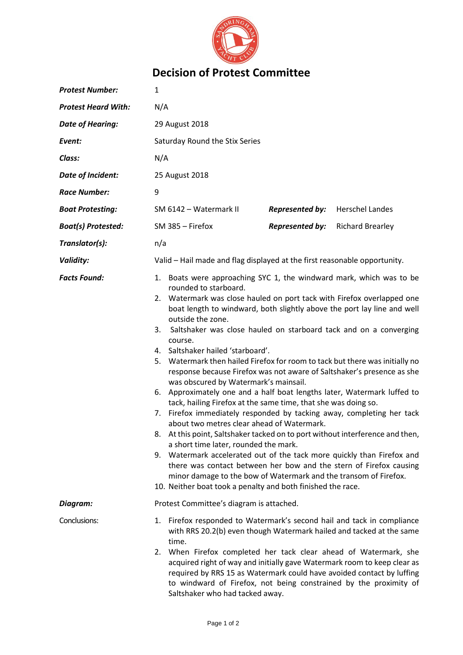

## **Decision of Protest Committee**

| <b>Protest Number:</b>     | 1                                                                                                                                                                                                                                                                                                                                                                                                                                                                                                                                                                                                                                                                                                                                                                                                                                                                                                                                                                                                                                                                                                                                                                                                                                                                                                       |
|----------------------------|---------------------------------------------------------------------------------------------------------------------------------------------------------------------------------------------------------------------------------------------------------------------------------------------------------------------------------------------------------------------------------------------------------------------------------------------------------------------------------------------------------------------------------------------------------------------------------------------------------------------------------------------------------------------------------------------------------------------------------------------------------------------------------------------------------------------------------------------------------------------------------------------------------------------------------------------------------------------------------------------------------------------------------------------------------------------------------------------------------------------------------------------------------------------------------------------------------------------------------------------------------------------------------------------------------|
| <b>Protest Heard With:</b> | N/A                                                                                                                                                                                                                                                                                                                                                                                                                                                                                                                                                                                                                                                                                                                                                                                                                                                                                                                                                                                                                                                                                                                                                                                                                                                                                                     |
| <b>Date of Hearing:</b>    | 29 August 2018                                                                                                                                                                                                                                                                                                                                                                                                                                                                                                                                                                                                                                                                                                                                                                                                                                                                                                                                                                                                                                                                                                                                                                                                                                                                                          |
| Event:                     | Saturday Round the Stix Series                                                                                                                                                                                                                                                                                                                                                                                                                                                                                                                                                                                                                                                                                                                                                                                                                                                                                                                                                                                                                                                                                                                                                                                                                                                                          |
| Class:                     | N/A                                                                                                                                                                                                                                                                                                                                                                                                                                                                                                                                                                                                                                                                                                                                                                                                                                                                                                                                                                                                                                                                                                                                                                                                                                                                                                     |
| <b>Date of Incident:</b>   | 25 August 2018                                                                                                                                                                                                                                                                                                                                                                                                                                                                                                                                                                                                                                                                                                                                                                                                                                                                                                                                                                                                                                                                                                                                                                                                                                                                                          |
| <b>Race Number:</b>        | 9                                                                                                                                                                                                                                                                                                                                                                                                                                                                                                                                                                                                                                                                                                                                                                                                                                                                                                                                                                                                                                                                                                                                                                                                                                                                                                       |
| <b>Boat Protesting:</b>    | SM 6142 - Watermark II<br><b>Represented by:</b><br><b>Herschel Landes</b>                                                                                                                                                                                                                                                                                                                                                                                                                                                                                                                                                                                                                                                                                                                                                                                                                                                                                                                                                                                                                                                                                                                                                                                                                              |
| <b>Boat(s) Protested:</b>  | <b>Represented by:</b><br>SM 385 - Firefox<br><b>Richard Brearley</b>                                                                                                                                                                                                                                                                                                                                                                                                                                                                                                                                                                                                                                                                                                                                                                                                                                                                                                                                                                                                                                                                                                                                                                                                                                   |
| Translator(s):             | n/a                                                                                                                                                                                                                                                                                                                                                                                                                                                                                                                                                                                                                                                                                                                                                                                                                                                                                                                                                                                                                                                                                                                                                                                                                                                                                                     |
| <b>Validity:</b>           | Valid - Hail made and flag displayed at the first reasonable opportunity.                                                                                                                                                                                                                                                                                                                                                                                                                                                                                                                                                                                                                                                                                                                                                                                                                                                                                                                                                                                                                                                                                                                                                                                                                               |
| <b>Facts Found:</b>        | Boats were approaching SYC 1, the windward mark, which was to be<br>1.<br>rounded to starboard.<br>Watermark was close hauled on port tack with Firefox overlapped one<br>2.<br>boat length to windward, both slightly above the port lay line and well<br>outside the zone.<br>Saltshaker was close hauled on starboard tack and on a converging<br>3.<br>course.<br>4. Saltshaker hailed 'starboard'.<br>Watermark then hailed Firefox for room to tack but there was initially no<br>5.<br>response because Firefox was not aware of Saltshaker's presence as she<br>was obscured by Watermark's mainsail.<br>Approximately one and a half boat lengths later, Watermark luffed to<br>6.<br>tack, hailing Firefox at the same time, that she was doing so.<br>7. Firefox immediately responded by tacking away, completing her tack<br>about two metres clear ahead of Watermark.<br>At this point, Saltshaker tacked on to port without interference and then,<br>୪.<br>a short time later, rounded the mark.<br>Watermark accelerated out of the tack more quickly than Firefox and<br>9.<br>there was contact between her bow and the stern of Firefox causing<br>minor damage to the bow of Watermark and the transom of Firefox.<br>10. Neither boat took a penalty and both finished the race. |
| Diagram:                   | Protest Committee's diagram is attached.                                                                                                                                                                                                                                                                                                                                                                                                                                                                                                                                                                                                                                                                                                                                                                                                                                                                                                                                                                                                                                                                                                                                                                                                                                                                |
| Conclusions:               | Firefox responded to Watermark's second hail and tack in compliance<br>1.<br>with RRS 20.2(b) even though Watermark hailed and tacked at the same<br>time.<br>When Firefox completed her tack clear ahead of Watermark, she<br>2.<br>acquired right of way and initially gave Watermark room to keep clear as<br>required by RRS 15 as Watermark could have avoided contact by luffing<br>to windward of Firefox, not being constrained by the proximity of<br>Saltshaker who had tacked away.                                                                                                                                                                                                                                                                                                                                                                                                                                                                                                                                                                                                                                                                                                                                                                                                          |